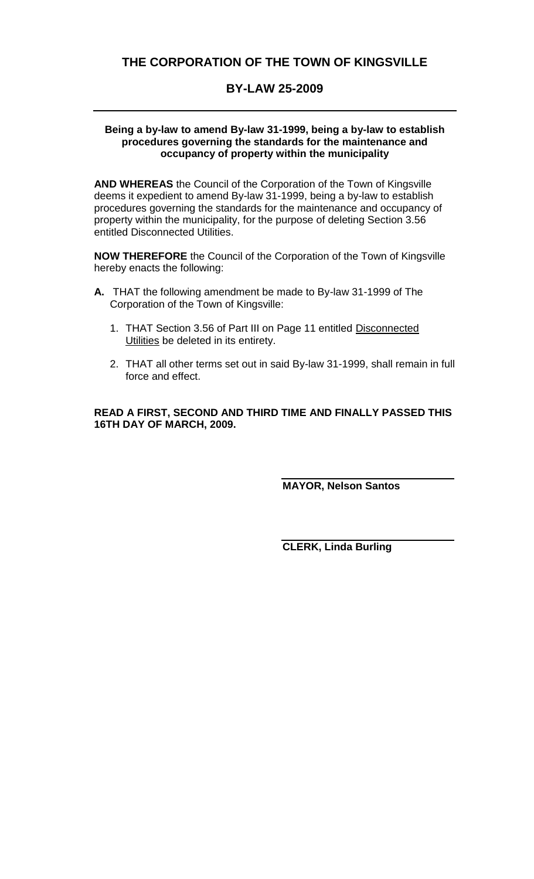# **THE CORPORATION OF THE TOWN OF KINGSVILLE**

# **BY-LAW 25-2009**

#### **Being a by-law to amend By-law 31-1999, being a by-law to establish procedures governing the standards for the maintenance and occupancy of property within the municipality**

**AND WHEREAS** the Council of the Corporation of the Town of Kingsville deems it expedient to amend By-law 31-1999, being a by-law to establish procedures governing the standards for the maintenance and occupancy of property within the municipality, for the purpose of deleting Section 3.56 entitled Disconnected Utilities.

**NOW THEREFORE** the Council of the Corporation of the Town of Kingsville hereby enacts the following:

- **A.** THAT the following amendment be made to By-law 31-1999 of The Corporation of the Town of Kingsville:
	- 1. THAT Section 3.56 of Part III on Page 11 entitled Disconnected Utilities be deleted in its entirety.
	- 2. THAT all other terms set out in said By-law 31-1999, shall remain in full force and effect.

**READ A FIRST, SECOND AND THIRD TIME AND FINALLY PASSED THIS 16TH DAY OF MARCH, 2009.**

**MAYOR, Nelson Santos**

**CLERK, Linda Burling**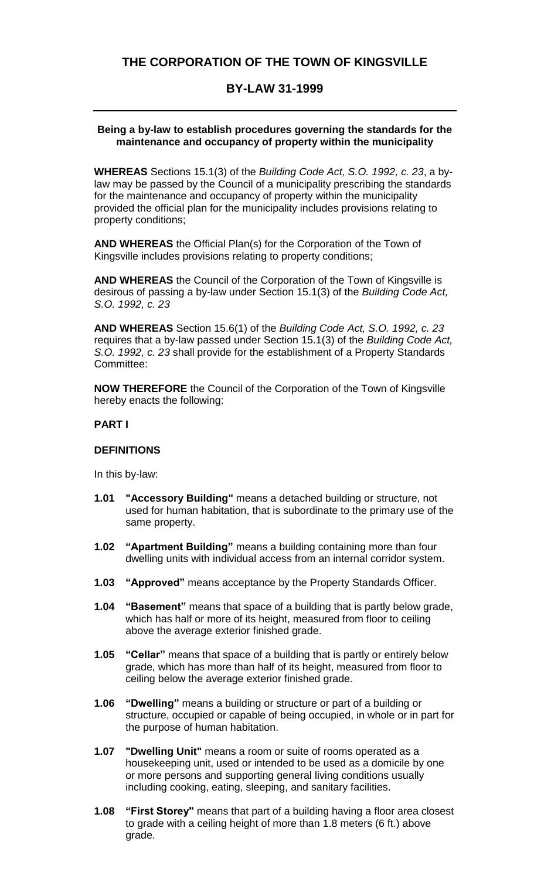# **THE CORPORATION OF THE TOWN OF KINGSVILLE**

### **BY-LAW 31-1999**

#### **Being a by-law to establish procedures governing the standards for the maintenance and occupancy of property within the municipality**

**WHEREAS** Sections 15.1(3) of the *Building Code Act, S.O. 1992, c. 23*, a bylaw may be passed by the Council of a municipality prescribing the standards for the maintenance and occupancy of property within the municipality provided the official plan for the municipality includes provisions relating to property conditions;

**AND WHEREAS** the Official Plan(s) for the Corporation of the Town of Kingsville includes provisions relating to property conditions;

**AND WHEREAS** the Council of the Corporation of the Town of Kingsville is desirous of passing a by-law under Section 15.1(3) of the *Building Code Act, S.O. 1992, c. 23*

**AND WHEREAS** Section 15.6(1) of the *Building Code Act, S.O. 1992, c. 23* requires that a by-law passed under Section 15.1(3) of the *Building Code Act, S.O. 1992, c. 23* shall provide for the establishment of a Property Standards Committee:

**NOW THEREFORE** the Council of the Corporation of the Town of Kingsville hereby enacts the following:

#### **PART I**

#### **DEFINITIONS**

In this by-law:

- **1.01 "Accessory Building"** means a detached building or structure, not used for human habitation, that is subordinate to the primary use of the same property.
- **1.02 "Apartment Building"** means a building containing more than four dwelling units with individual access from an internal corridor system.
- **1.03 "Approved"** means acceptance by the Property Standards Officer.
- **1.04 "Basement"** means that space of a building that is partly below grade, which has half or more of its height, measured from floor to ceiling above the average exterior finished grade.
- **1.05 "Cellar"** means that space of a building that is partly or entirely below grade, which has more than half of its height, measured from floor to ceiling below the average exterior finished grade.
- **1.06 "Dwelling"** means a building or structure or part of a building or structure, occupied or capable of being occupied, in whole or in part for the purpose of human habitation.
- **1.07 "Dwelling Unit"** means a room or suite of rooms operated as a housekeeping unit, used or intended to be used as a domicile by one or more persons and supporting general living conditions usually including cooking, eating, sleeping, and sanitary facilities.
- **1.08 "First Storey"** means that part of a building having a floor area closest to grade with a ceiling height of more than 1.8 meters (6 ft.) above grade.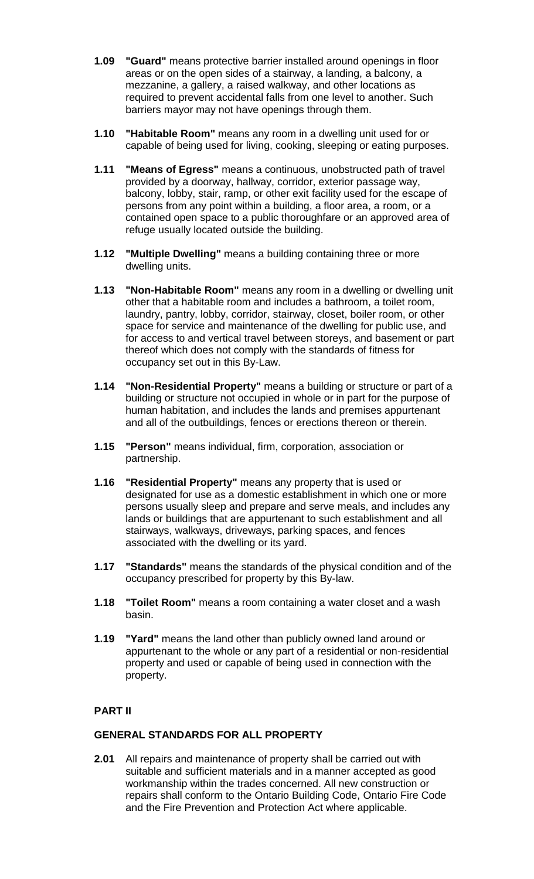- **1.09 "Guard"** means protective barrier installed around openings in floor areas or on the open sides of a stairway, a landing, a balcony, a mezzanine, a gallery, a raised walkway, and other locations as required to prevent accidental falls from one level to another. Such barriers mayor may not have openings through them.
- **1.10 "Habitable Room"** means any room in a dwelling unit used for or capable of being used for living, cooking, sleeping or eating purposes.
- **1.11 "Means of Egress"** means a continuous, unobstructed path of travel provided by a doorway, hallway, corridor, exterior passage way, balcony, lobby, stair, ramp, or other exit facility used for the escape of persons from any point within a building, a floor area, a room, or a contained open space to a public thoroughfare or an approved area of refuge usually located outside the building.
- **1.12 "Multiple Dwelling"** means a building containing three or more dwelling units.
- **1.13 "Non-Habitable Room"** means any room in a dwelling or dwelling unit other that a habitable room and includes a bathroom, a toilet room, laundry, pantry, lobby, corridor, stairway, closet, boiler room, or other space for service and maintenance of the dwelling for public use, and for access to and vertical travel between storeys, and basement or part thereof which does not comply with the standards of fitness for occupancy set out in this By-Law.
- **1.14 "Non-Residential Property"** means a building or structure or part of a building or structure not occupied in whole or in part for the purpose of human habitation, and includes the lands and premises appurtenant and all of the outbuildings, fences or erections thereon or therein.
- **1.15 "Person"** means individual, firm, corporation, association or partnership.
- **1.16 "Residential Property"** means any property that is used or designated for use as a domestic establishment in which one or more persons usually sleep and prepare and serve meals, and includes any lands or buildings that are appurtenant to such establishment and all stairways, walkways, driveways, parking spaces, and fences associated with the dwelling or its yard.
- **1.17 "Standards"** means the standards of the physical condition and of the occupancy prescribed for property by this By-law.
- **1.18 "Toilet Room"** means a room containing a water closet and a wash basin.
- **1.19 "Yard"** means the land other than publicly owned land around or appurtenant to the whole or any part of a residential or non-residential property and used or capable of being used in connection with the property.

# **PART II**

### **GENERAL STANDARDS FOR ALL PROPERTY**

**2.01** All repairs and maintenance of property shall be carried out with suitable and sufficient materials and in a manner accepted as good workmanship within the trades concerned. All new construction or repairs shall conform to the Ontario Building Code, Ontario Fire Code and the Fire Prevention and Protection Act where applicable.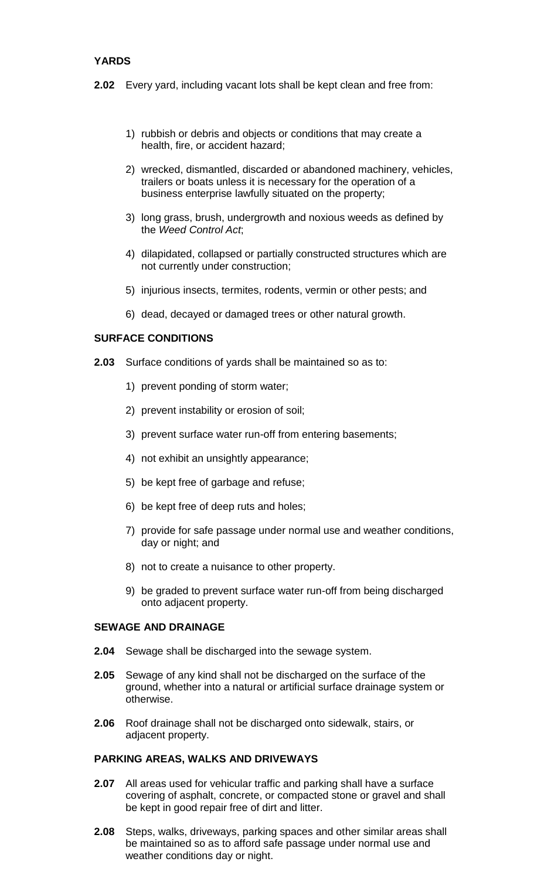# **YARDS**

- **2.02** Every yard, including vacant lots shall be kept clean and free from:
	- 1) rubbish or debris and objects or conditions that may create a health, fire, or accident hazard;
	- 2) wrecked, dismantled, discarded or abandoned machinery, vehicles, trailers or boats unless it is necessary for the operation of a business enterprise lawfully situated on the property;
	- 3) long grass, brush, undergrowth and noxious weeds as defined by the *Weed Control Act*;
	- 4) dilapidated, collapsed or partially constructed structures which are not currently under construction;
	- 5) injurious insects, termites, rodents, vermin or other pests; and
	- 6) dead, decayed or damaged trees or other natural growth.

#### **SURFACE CONDITIONS**

- **2.03** Surface conditions of yards shall be maintained so as to:
	- 1) prevent ponding of storm water;
	- 2) prevent instability or erosion of soil;
	- 3) prevent surface water run-off from entering basements;
	- 4) not exhibit an unsightly appearance;
	- 5) be kept free of garbage and refuse;
	- 6) be kept free of deep ruts and holes;
	- 7) provide for safe passage under normal use and weather conditions, day or night; and
	- 8) not to create a nuisance to other property.
	- 9) be graded to prevent surface water run-off from being discharged onto adjacent property.

#### **SEWAGE AND DRAINAGE**

- **2.04** Sewage shall be discharged into the sewage system.
- **2.05** Sewage of any kind shall not be discharged on the surface of the ground, whether into a natural or artificial surface drainage system or otherwise.
- **2.06** Roof drainage shall not be discharged onto sidewalk, stairs, or adjacent property.

#### **PARKING AREAS, WALKS AND DRIVEWAYS**

- **2.07** All areas used for vehicular traffic and parking shall have a surface covering of asphalt, concrete, or compacted stone or gravel and shall be kept in good repair free of dirt and litter.
- **2.08** Steps, walks, driveways, parking spaces and other similar areas shall be maintained so as to afford safe passage under normal use and weather conditions day or night.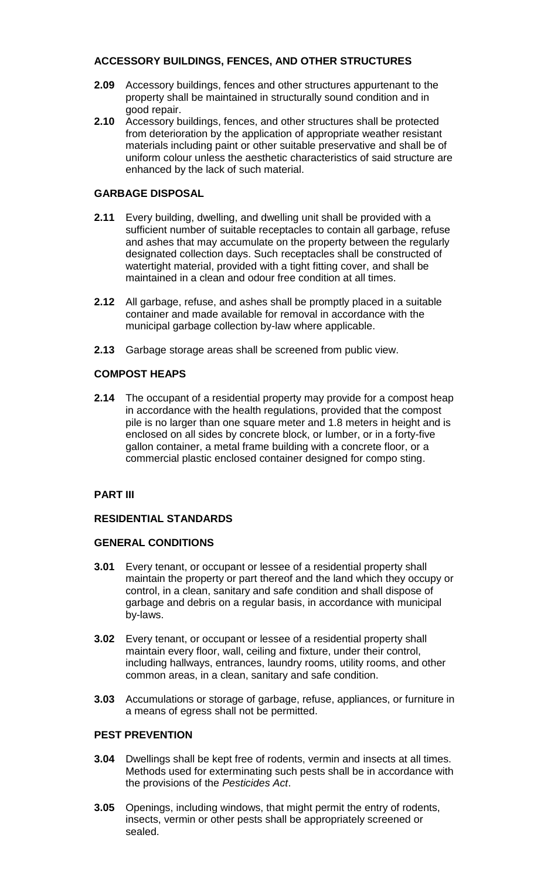# **ACCESSORY BUILDINGS, FENCES, AND OTHER STRUCTURES**

- **2.09** Accessory buildings, fences and other structures appurtenant to the property shall be maintained in structurally sound condition and in good repair.
- **2.10** Accessory buildings, fences, and other structures shall be protected from deterioration by the application of appropriate weather resistant materials including paint or other suitable preservative and shall be of uniform colour unless the aesthetic characteristics of said structure are enhanced by the lack of such material.

# **GARBAGE DISPOSAL**

- **2.11** Every building, dwelling, and dwelling unit shall be provided with a sufficient number of suitable receptacles to contain all garbage, refuse and ashes that may accumulate on the property between the regularly designated collection days. Such receptacles shall be constructed of watertight material, provided with a tight fitting cover, and shall be maintained in a clean and odour free condition at all times.
- **2.12** All garbage, refuse, and ashes shall be promptly placed in a suitable container and made available for removal in accordance with the municipal garbage collection by-law where applicable.
- **2.13** Garbage storage areas shall be screened from public view.

# **COMPOST HEAPS**

**2.14** The occupant of a residential property may provide for a compost heap in accordance with the health regulations, provided that the compost pile is no larger than one square meter and 1.8 meters in height and is enclosed on all sides by concrete block, or lumber, or in a forty-five gallon container, a metal frame building with a concrete floor, or a commercial plastic enclosed container designed for compo sting.

### **PART III**

### **RESIDENTIAL STANDARDS**

### **GENERAL CONDITIONS**

- **3.01** Every tenant, or occupant or lessee of a residential property shall maintain the property or part thereof and the land which they occupy or control, in a clean, sanitary and safe condition and shall dispose of garbage and debris on a regular basis, in accordance with municipal by-laws.
- **3.02** Every tenant, or occupant or lessee of a residential property shall maintain every floor, wall, ceiling and fixture, under their control, including hallways, entrances, laundry rooms, utility rooms, and other common areas, in a clean, sanitary and safe condition.
- **3.03** Accumulations or storage of garbage, refuse, appliances, or furniture in a means of egress shall not be permitted.

### **PEST PREVENTION**

- **3.04** Dwellings shall be kept free of rodents, vermin and insects at all times. Methods used for exterminating such pests shall be in accordance with the provisions of the *Pesticides Act*.
- **3.05** Openings, including windows, that might permit the entry of rodents, insects, vermin or other pests shall be appropriately screened or sealed.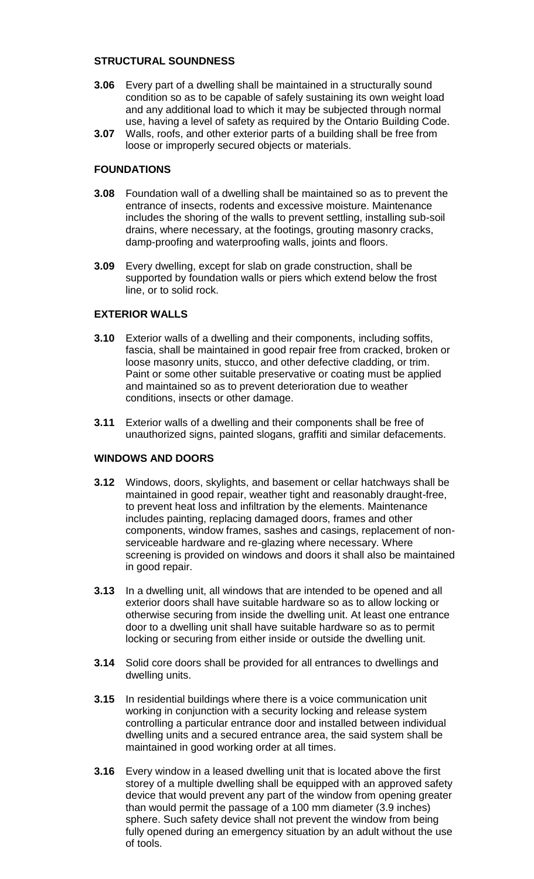#### **STRUCTURAL SOUNDNESS**

- **3.06** Every part of a dwelling shall be maintained in a structurally sound condition so as to be capable of safely sustaining its own weight load and any additional load to which it may be subjected through normal use, having a level of safety as required by the Ontario Building Code.
- **3.07** Walls, roofs, and other exterior parts of a building shall be free from loose or improperly secured objects or materials.

#### **FOUNDATIONS**

- **3.08** Foundation wall of a dwelling shall be maintained so as to prevent the entrance of insects, rodents and excessive moisture. Maintenance includes the shoring of the walls to prevent settling, installing sub-soil drains, where necessary, at the footings, grouting masonry cracks, damp-proofing and waterproofing walls, joints and floors.
- **3.09** Every dwelling, except for slab on grade construction, shall be supported by foundation walls or piers which extend below the frost line, or to solid rock.

#### **EXTERIOR WALLS**

- **3.10** Exterior walls of a dwelling and their components, including soffits, fascia, shall be maintained in good repair free from cracked, broken or loose masonry units, stucco, and other defective cladding, or trim. Paint or some other suitable preservative or coating must be applied and maintained so as to prevent deterioration due to weather conditions, insects or other damage.
- **3.11** Exterior walls of a dwelling and their components shall be free of unauthorized signs, painted slogans, graffiti and similar defacements.

### **WINDOWS AND DOORS**

- **3.12** Windows, doors, skylights, and basement or cellar hatchways shall be maintained in good repair, weather tight and reasonably draught-free, to prevent heat loss and infiltration by the elements. Maintenance includes painting, replacing damaged doors, frames and other components, window frames, sashes and casings, replacement of nonserviceable hardware and re-glazing where necessary. Where screening is provided on windows and doors it shall also be maintained in good repair.
- **3.13** In a dwelling unit, all windows that are intended to be opened and all exterior doors shall have suitable hardware so as to allow locking or otherwise securing from inside the dwelling unit. At least one entrance door to a dwelling unit shall have suitable hardware so as to permit locking or securing from either inside or outside the dwelling unit.
- **3.14** Solid core doors shall be provided for all entrances to dwellings and dwelling units.
- **3.15** In residential buildings where there is a voice communication unit working in conjunction with a security locking and release system controlling a particular entrance door and installed between individual dwelling units and a secured entrance area, the said system shall be maintained in good working order at all times.
- **3.16** Every window in a leased dwelling unit that is located above the first storey of a multiple dwelling shall be equipped with an approved safety device that would prevent any part of the window from opening greater than would permit the passage of a 100 mm diameter (3.9 inches) sphere. Such safety device shall not prevent the window from being fully opened during an emergency situation by an adult without the use of tools.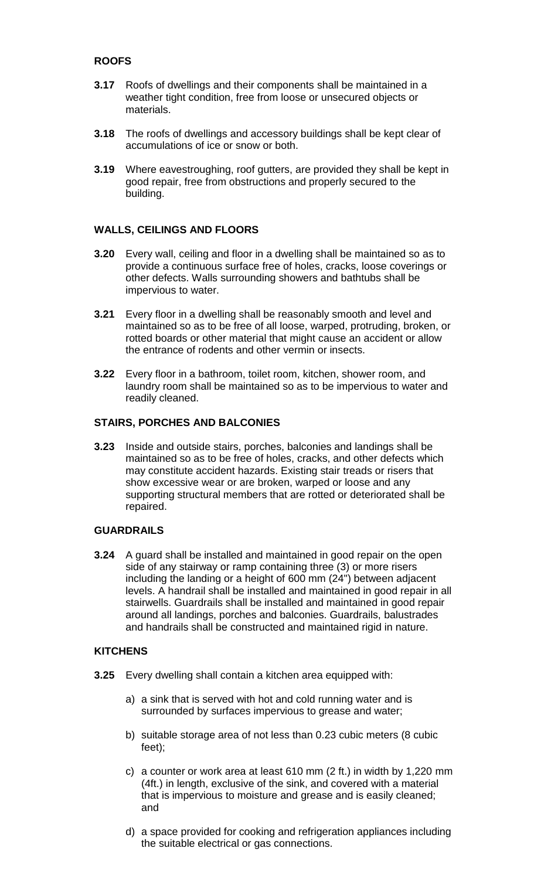# **ROOFS**

- **3.17** Roofs of dwellings and their components shall be maintained in a weather tight condition, free from loose or unsecured objects or materials.
- **3.18** The roofs of dwellings and accessory buildings shall be kept clear of accumulations of ice or snow or both.
- **3.19** Where eavestroughing, roof gutters, are provided they shall be kept in good repair, free from obstructions and properly secured to the building.

### **WALLS, CEILINGS AND FLOORS**

- **3.20** Every wall, ceiling and floor in a dwelling shall be maintained so as to provide a continuous surface free of holes, cracks, loose coverings or other defects. Walls surrounding showers and bathtubs shall be impervious to water.
- **3.21** Every floor in a dwelling shall be reasonably smooth and level and maintained so as to be free of all loose, warped, protruding, broken, or rotted boards or other material that might cause an accident or allow the entrance of rodents and other vermin or insects.
- **3.22** Every floor in a bathroom, toilet room, kitchen, shower room, and laundry room shall be maintained so as to be impervious to water and readily cleaned.

#### **STAIRS, PORCHES AND BALCONIES**

**3.23** Inside and outside stairs, porches, balconies and landings shall be maintained so as to be free of holes, cracks, and other defects which may constitute accident hazards. Existing stair treads or risers that show excessive wear or are broken, warped or loose and any supporting structural members that are rotted or deteriorated shall be repaired.

#### **GUARDRAILS**

**3.24** A guard shall be installed and maintained in good repair on the open side of any stairway or ramp containing three (3) or more risers including the landing or a height of 600 mm (24") between adjacent levels. A handrail shall be installed and maintained in good repair in all stairwells. Guardrails shall be installed and maintained in good repair around all landings, porches and balconies. Guardrails, balustrades and handrails shall be constructed and maintained rigid in nature.

#### **KITCHENS**

- **3.25** Every dwelling shall contain a kitchen area equipped with:
	- a) a sink that is served with hot and cold running water and is surrounded by surfaces impervious to grease and water;
	- b) suitable storage area of not less than 0.23 cubic meters (8 cubic feet);
	- c) a counter or work area at least 610 mm (2 ft.) in width by 1,220 mm (4ft.) in length, exclusive of the sink, and covered with a material that is impervious to moisture and grease and is easily cleaned; and
	- d) a space provided for cooking and refrigeration appliances including the suitable electrical or gas connections.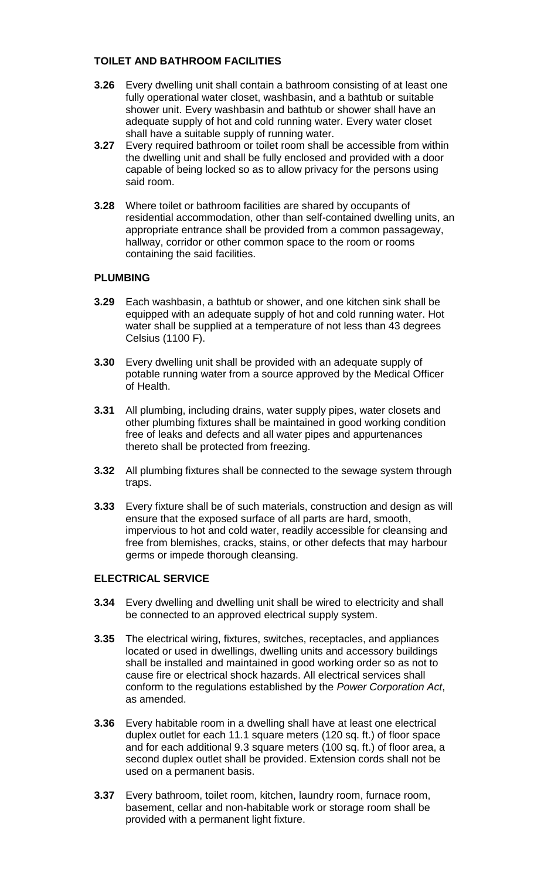# **TOILET AND BATHROOM FACILITIES**

- **3.26** Every dwelling unit shall contain a bathroom consisting of at least one fully operational water closet, washbasin, and a bathtub or suitable shower unit. Every washbasin and bathtub or shower shall have an adequate supply of hot and cold running water. Every water closet shall have a suitable supply of running water.
- **3.27** Every required bathroom or toilet room shall be accessible from within the dwelling unit and shall be fully enclosed and provided with a door capable of being locked so as to allow privacy for the persons using said room.
- **3.28** Where toilet or bathroom facilities are shared by occupants of residential accommodation, other than self-contained dwelling units, an appropriate entrance shall be provided from a common passageway, hallway, corridor or other common space to the room or rooms containing the said facilities.

### **PLUMBING**

- **3.29** Each washbasin, a bathtub or shower, and one kitchen sink shall be equipped with an adequate supply of hot and cold running water. Hot water shall be supplied at a temperature of not less than 43 degrees Celsius (1100 F).
- **3.30** Every dwelling unit shall be provided with an adequate supply of potable running water from a source approved by the Medical Officer of Health.
- **3.31** All plumbing, including drains, water supply pipes, water closets and other plumbing fixtures shall be maintained in good working condition free of leaks and defects and all water pipes and appurtenances thereto shall be protected from freezing.
- **3.32** All plumbing fixtures shall be connected to the sewage system through traps.
- **3.33** Every fixture shall be of such materials, construction and design as will ensure that the exposed surface of all parts are hard, smooth, impervious to hot and cold water, readily accessible for cleansing and free from blemishes, cracks, stains, or other defects that may harbour germs or impede thorough cleansing.

### **ELECTRICAL SERVICE**

- **3.34** Every dwelling and dwelling unit shall be wired to electricity and shall be connected to an approved electrical supply system.
- **3.35** The electrical wiring, fixtures, switches, receptacles, and appliances located or used in dwellings, dwelling units and accessory buildings shall be installed and maintained in good working order so as not to cause fire or electrical shock hazards. All electrical services shall conform to the regulations established by the *Power Corporation Act*, as amended.
- **3.36** Every habitable room in a dwelling shall have at least one electrical duplex outlet for each 11.1 square meters (120 sq. ft.) of floor space and for each additional 9.3 square meters (100 sq. ft.) of floor area, a second duplex outlet shall be provided. Extension cords shall not be used on a permanent basis.
- **3.37** Every bathroom, toilet room, kitchen, laundry room, furnace room, basement, cellar and non-habitable work or storage room shall be provided with a permanent light fixture.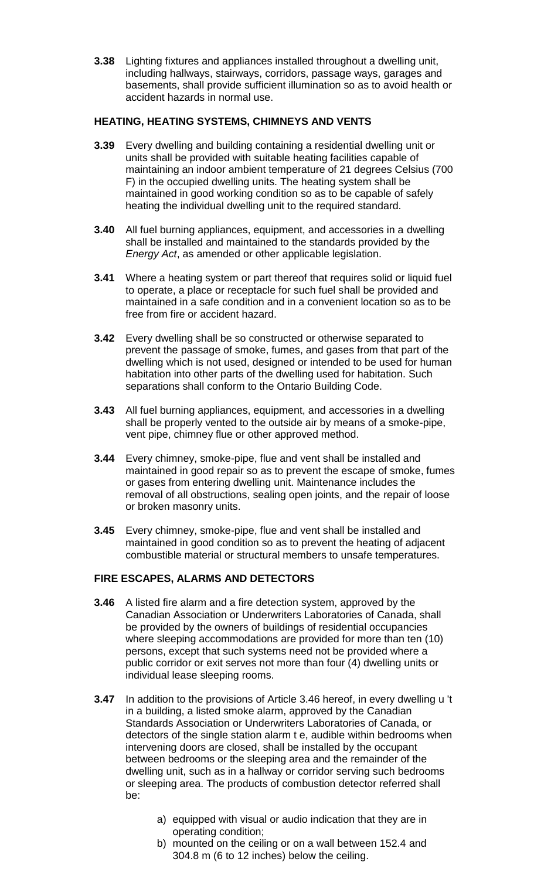**3.38** Lighting fixtures and appliances installed throughout a dwelling unit, including hallways, stairways, corridors, passage ways, garages and basements, shall provide sufficient illumination so as to avoid health or accident hazards in normal use.

#### **HEATING, HEATING SYSTEMS, CHIMNEYS AND VENTS**

- **3.39** Every dwelling and building containing a residential dwelling unit or units shall be provided with suitable heating facilities capable of maintaining an indoor ambient temperature of 21 degrees Celsius (700 F) in the occupied dwelling units. The heating system shall be maintained in good working condition so as to be capable of safely heating the individual dwelling unit to the required standard.
- **3.40** All fuel burning appliances, equipment, and accessories in a dwelling shall be installed and maintained to the standards provided by the *Energy Act*, as amended or other applicable legislation.
- **3.41** Where a heating system or part thereof that requires solid or liquid fuel to operate, a place or receptacle for such fuel shall be provided and maintained in a safe condition and in a convenient location so as to be free from fire or accident hazard.
- **3.42** Every dwelling shall be so constructed or otherwise separated to prevent the passage of smoke, fumes, and gases from that part of the dwelling which is not used, designed or intended to be used for human habitation into other parts of the dwelling used for habitation. Such separations shall conform to the Ontario Building Code.
- **3.43** All fuel burning appliances, equipment, and accessories in a dwelling shall be properly vented to the outside air by means of a smoke-pipe, vent pipe, chimney flue or other approved method.
- **3.44** Every chimney, smoke-pipe, flue and vent shall be installed and maintained in good repair so as to prevent the escape of smoke, fumes or gases from entering dwelling unit. Maintenance includes the removal of all obstructions, sealing open joints, and the repair of loose or broken masonry units.
- **3.45** Every chimney, smoke-pipe, flue and vent shall be installed and maintained in good condition so as to prevent the heating of adjacent combustible material or structural members to unsafe temperatures.

### **FIRE ESCAPES, ALARMS AND DETECTORS**

- **3.46** A listed fire alarm and a fire detection system, approved by the Canadian Association or Underwriters Laboratories of Canada, shall be provided by the owners of buildings of residential occupancies where sleeping accommodations are provided for more than ten (10) persons, except that such systems need not be provided where a public corridor or exit serves not more than four (4) dwelling units or individual lease sleeping rooms.
- **3.47** In addition to the provisions of Article 3.46 hereof, in every dwelling u 't in a building, a listed smoke alarm, approved by the Canadian Standards Association or Underwriters Laboratories of Canada, or detectors of the single station alarm t e, audible within bedrooms when intervening doors are closed, shall be installed by the occupant between bedrooms or the sleeping area and the remainder of the dwelling unit, such as in a hallway or corridor serving such bedrooms or sleeping area. The products of combustion detector referred shall be:
	- a) equipped with visual or audio indication that they are in operating condition;
	- b) mounted on the ceiling or on a wall between 152.4 and 304.8 m (6 to 12 inches) below the ceiling.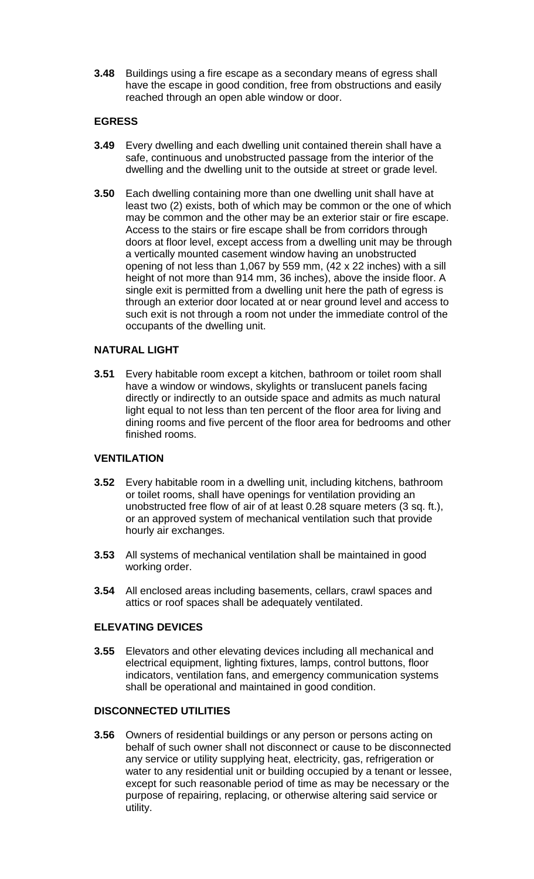**3.48** Buildings using a fire escape as a secondary means of egress shall have the escape in good condition, free from obstructions and easily reached through an open able window or door.

#### **EGRESS**

- **3.49** Every dwelling and each dwelling unit contained therein shall have a safe, continuous and unobstructed passage from the interior of the dwelling and the dwelling unit to the outside at street or grade level.
- **3.50** Each dwelling containing more than one dwelling unit shall have at least two (2) exists, both of which may be common or the one of which may be common and the other may be an exterior stair or fire escape. Access to the stairs or fire escape shall be from corridors through doors at floor level, except access from a dwelling unit may be through a vertically mounted casement window having an unobstructed opening of not less than 1,067 by 559 mm, (42 x 22 inches) with a sill height of not more than 914 mm, 36 inches), above the inside floor. A single exit is permitted from a dwelling unit here the path of egress is through an exterior door located at or near ground level and access to such exit is not through a room not under the immediate control of the occupants of the dwelling unit.

#### **NATURAL LIGHT**

**3.51** Every habitable room except a kitchen, bathroom or toilet room shall have a window or windows, skylights or translucent panels facing directly or indirectly to an outside space and admits as much natural light equal to not less than ten percent of the floor area for living and dining rooms and five percent of the floor area for bedrooms and other finished rooms.

#### **VENTILATION**

- **3.52** Every habitable room in a dwelling unit, including kitchens, bathroom or toilet rooms, shall have openings for ventilation providing an unobstructed free flow of air of at least 0.28 square meters (3 sq. ft.), or an approved system of mechanical ventilation such that provide hourly air exchanges.
- **3.53** All systems of mechanical ventilation shall be maintained in good working order.
- **3.54** All enclosed areas including basements, cellars, crawl spaces and attics or roof spaces shall be adequately ventilated.

#### **ELEVATING DEVICES**

**3.55** Elevators and other elevating devices including all mechanical and electrical equipment, lighting fixtures, lamps, control buttons, floor indicators, ventilation fans, and emergency communication systems shall be operational and maintained in good condition.

### **DISCONNECTED UTILITIES**

**3.56** Owners of residential buildings or any person or persons acting on behalf of such owner shall not disconnect or cause to be disconnected any service or utility supplying heat, electricity, gas, refrigeration or water to any residential unit or building occupied by a tenant or lessee, except for such reasonable period of time as may be necessary or the purpose of repairing, replacing, or otherwise altering said service or utility.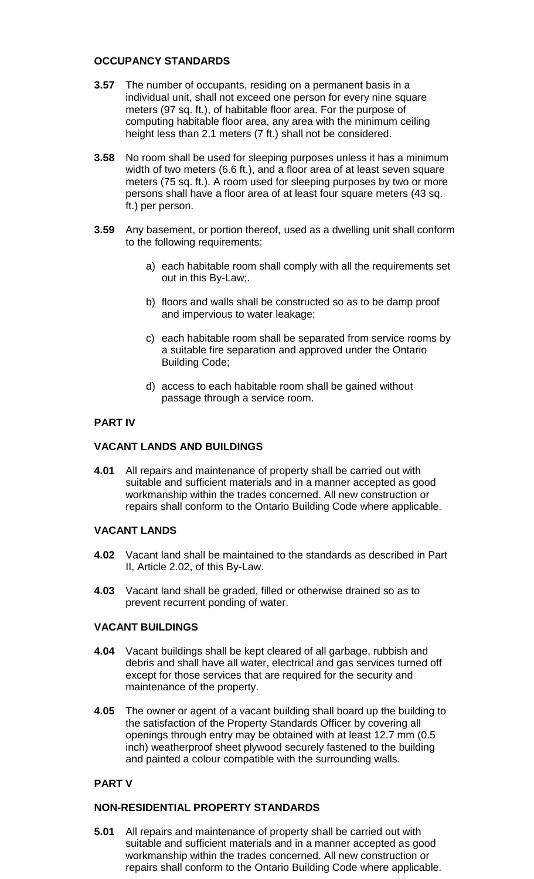### **OCCUPANCY STANDARDS**

- **3.57** The number of occupants, residing on a permanent basis in a individual unit, shall not exceed one person for every nine square meters (97 sq. ft.), of habitable floor area. For the purpose of computing habitable floor area, any area with the minimum ceiling height less than 2.1 meters (7 ft.) shall not be considered.
- **3.58** No room shall be used for sleeping purposes unless it has a minimum width of two meters (6.6 ft.), and a floor area of at least seven square meters (75 sq. ft.). A room used for sleeping purposes by two or more persons shall have a floor area of at least four square meters (43 sq. ft.) per person.
- **3.59** Any basement, or portion thereof, used as a dwelling unit shall conform to the following requirements:
	- a) each habitable room shall comply with all the requirements set out in this By-Law;.
	- b) floors and walls shall be constructed so as to be damp proof and impervious to water leakage;
	- c) each habitable room shall be separated from service rooms by a suitable fire separation and approved under the Ontario Building Code;
	- d) access to each habitable room shall be gained without passage through a service room.

### **PART IV**

### **VACANT LANDS AND BUILDINGS**

**4.01** All repairs and maintenance of property shall be carried out with suitable and sufficient materials and in a manner accepted as good workmanship within the trades concerned. All new construction or repairs shall conform to the Ontario Building Code where applicable.

### **VACANT LANDS**

- **4.02** Vacant land shall be maintained to the standards as described in Part II, Article 2.02, of this By-Law.
- **4.03** Vacant land shall be graded, filled or otherwise drained so as to prevent recurrent ponding of water.

### **VACANT BUILDINGS**

- **4.04** Vacant buildings shall be kept cleared of all garbage, rubbish and debris and shall have all water, electrical and gas services turned off except for those services that are required for the security and maintenance of the property.
- **4.05** The owner or agent of a vacant building shall board up the building to the satisfaction of the Property Standards Officer by covering all openings through entry may be obtained with at least 12.7 mm (0.5 inch) weatherproof sheet plywood securely fastened to the building and painted a colour compatible with the surrounding walls.

### **PART V**

### **NON-RESIDENTIAL PROPERTY STANDARDS**

**5.01** All repairs and maintenance of property shall be carried out with suitable and sufficient materials and in a manner accepted as good workmanship within the trades concerned. All new construction or repairs shall conform to the Ontario Building Code where applicable.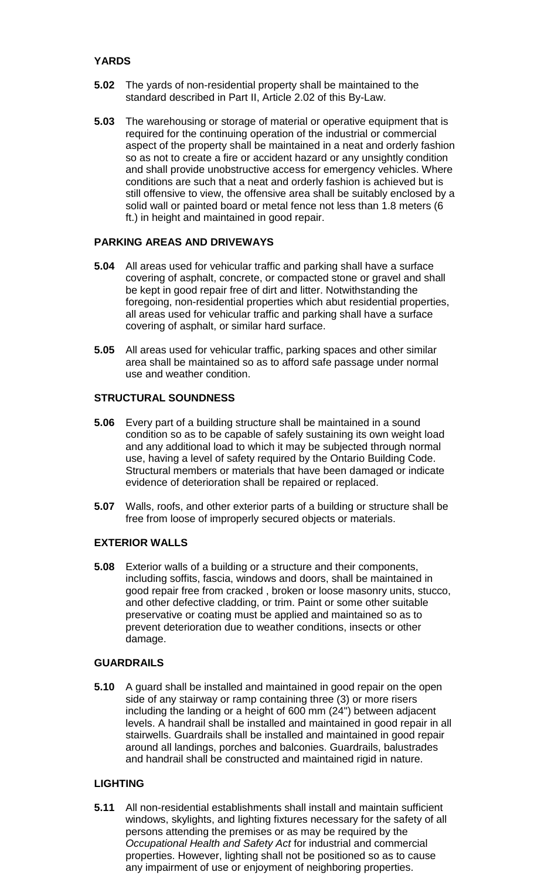# **YARDS**

- **5.02** The yards of non-residential property shall be maintained to the standard described in Part II, Article 2.02 of this By-Law.
- **5.03** The warehousing or storage of material or operative equipment that is required for the continuing operation of the industrial or commercial aspect of the property shall be maintained in a neat and orderly fashion so as not to create a fire or accident hazard or any unsightly condition and shall provide unobstructive access for emergency vehicles. Where conditions are such that a neat and orderly fashion is achieved but is still offensive to view, the offensive area shall be suitably enclosed by a solid wall or painted board or metal fence not less than 1.8 meters (6 ft.) in height and maintained in good repair.

### **PARKING AREAS AND DRIVEWAYS**

- **5.04** All areas used for vehicular traffic and parking shall have a surface covering of asphalt, concrete, or compacted stone or gravel and shall be kept in good repair free of dirt and litter. Notwithstanding the foregoing, non-residential properties which abut residential properties, all areas used for vehicular traffic and parking shall have a surface covering of asphalt, or similar hard surface.
- **5.05** All areas used for vehicular traffic, parking spaces and other similar area shall be maintained so as to afford safe passage under normal use and weather condition.

# **STRUCTURAL SOUNDNESS**

- **5.06** Every part of a building structure shall be maintained in a sound condition so as to be capable of safely sustaining its own weight load and any additional load to which it may be subjected through normal use, having a level of safety required by the Ontario Building Code. Structural members or materials that have been damaged or indicate evidence of deterioration shall be repaired or replaced.
- **5.07** Walls, roofs, and other exterior parts of a building or structure shall be free from loose of improperly secured objects or materials.

### **EXTERIOR WALLS**

**5.08** Exterior walls of a building or a structure and their components, including soffits, fascia, windows and doors, shall be maintained in good repair free from cracked , broken or loose masonry units, stucco, and other defective cladding, or trim. Paint or some other suitable preservative or coating must be applied and maintained so as to prevent deterioration due to weather conditions, insects or other damage.

#### **GUARDRAILS**

**5.10** A guard shall be installed and maintained in good repair on the open side of any stairway or ramp containing three (3) or more risers including the landing or a height of 600 mm (24") between adjacent levels. A handrail shall be installed and maintained in good repair in all stairwells. Guardrails shall be installed and maintained in good repair around all landings, porches and balconies. Guardrails, balustrades and handrail shall be constructed and maintained rigid in nature.

### **LIGHTING**

**5.11** All non-residential establishments shall install and maintain sufficient windows, skylights, and lighting fixtures necessary for the safety of all persons attending the premises or as may be required by the *Occupational Health and Safety Act* for industrial and commercial properties. However, lighting shall not be positioned so as to cause any impairment of use or enjoyment of neighboring properties.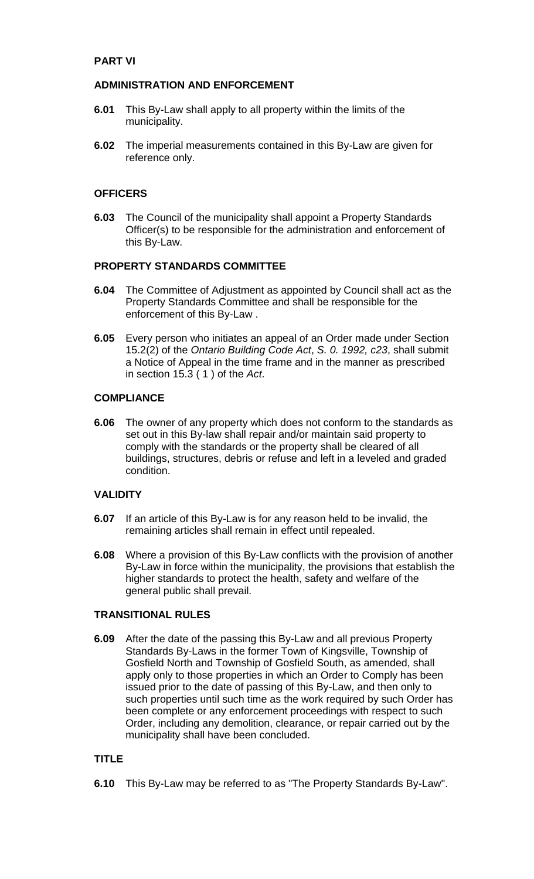### **PART VI**

### **ADMINISTRATION AND ENFORCEMENT**

- **6.01** This By-Law shall apply to all property within the limits of the municipality.
- **6.02** The imperial measurements contained in this By-Law are given for reference only.

#### **OFFICERS**

**6.03** The Council of the municipality shall appoint a Property Standards Officer(s) to be responsible for the administration and enforcement of this By-Law.

#### **PROPERTY STANDARDS COMMITTEE**

- **6.04** The Committee of Adjustment as appointed by Council shall act as the Property Standards Committee and shall be responsible for the enforcement of this By-Law .
- **6.05** Every person who initiates an appeal of an Order made under Section 15.2(2) of the *Ontario Building Code Act*, *S. 0. 1992, c23*, shall submit a Notice of Appeal in the time frame and in the manner as prescribed in section 15.3 ( 1 ) of the *Act*.

#### **COMPLIANCE**

**6.06** The owner of any property which does not conform to the standards as set out in this By-law shall repair and/or maintain said property to comply with the standards or the property shall be cleared of all buildings, structures, debris or refuse and left in a leveled and graded condition.

#### **VALIDITY**

- **6.07** If an article of this By-Law is for any reason held to be invalid, the remaining articles shall remain in effect until repealed.
- **6.08** Where a provision of this By-Law conflicts with the provision of another By-Law in force within the municipality, the provisions that establish the higher standards to protect the health, safety and welfare of the general public shall prevail.

### **TRANSITIONAL RULES**

**6.09** After the date of the passing this By-Law and all previous Property Standards By-Laws in the former Town of Kingsville, Township of Gosfield North and Township of Gosfield South, as amended, shall apply only to those properties in which an Order to Comply has been issued prior to the date of passing of this By-Law, and then only to such properties until such time as the work required by such Order has been complete or any enforcement proceedings with respect to such Order, including any demolition, clearance, or repair carried out by the municipality shall have been concluded.

### **TITLE**

**6.10** This By-Law may be referred to as "The Property Standards By-Law".